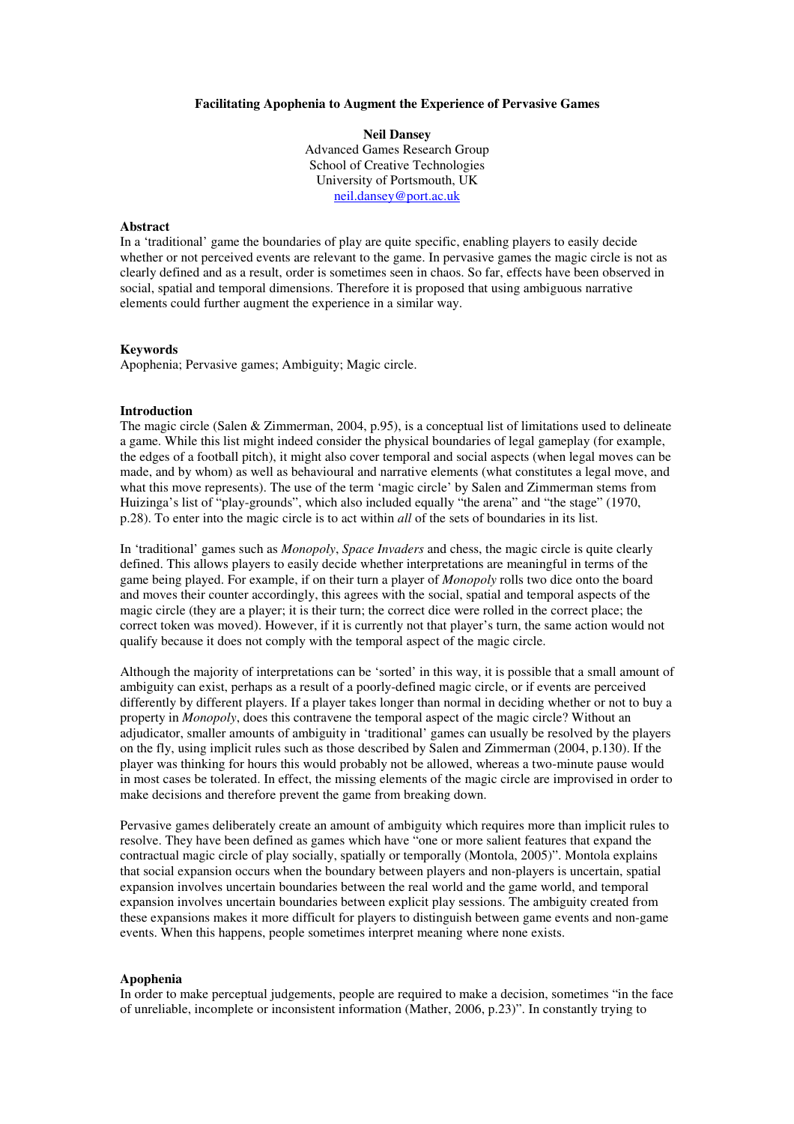#### **Facilitating Apophenia to Augment the Experience of Pervasive Games**

**Neil Dansey** Advanced Games Research Group School of Creative Technologies University of Portsmouth, UK neil.dansey@port.ac.uk

# **Abstract**

In a 'traditional' game the boundaries of play are quite specific, enabling players to easily decide whether or not perceived events are relevant to the game. In pervasive games the magic circle is not as clearly defined and as a result, order is sometimes seen in chaos. So far, effects have been observed in social, spatial and temporal dimensions. Therefore it is proposed that using ambiguous narrative elements could further augment the experience in a similar way.

# **Keywords**

Apophenia; Pervasive games; Ambiguity; Magic circle.

## **Introduction**

The magic circle (Salen & Zimmerman, 2004, p.95), is a conceptual list of limitations used to delineate a game. While this list might indeed consider the physical boundaries of legal gameplay (for example, the edges of a football pitch), it might also cover temporal and social aspects (when legal moves can be made, and by whom) as well as behavioural and narrative elements (what constitutes a legal move, and what this move represents). The use of the term 'magic circle' by Salen and Zimmerman stems from Huizinga's list of "play-grounds", which also included equally "the arena" and "the stage" (1970, p.28). To enter into the magic circle is to act within *all* of the sets of boundaries in its list.

In 'traditional' games such as *Monopoly*, *Space Invaders* and chess, the magic circle is quite clearly defined. This allows players to easily decide whether interpretations are meaningful in terms of the game being played. For example, if on their turn a player of *Monopoly* rolls two dice onto the board and moves their counter accordingly, this agrees with the social, spatial and temporal aspects of the magic circle (they are a player; it is their turn; the correct dice were rolled in the correct place; the correct token was moved). However, if it is currently not that player's turn, the same action would not qualify because it does not comply with the temporal aspect of the magic circle.

Although the majority of interpretations can be 'sorted' in this way, it is possible that a small amount of ambiguity can exist, perhaps as a result of a poorly-defined magic circle, or if events are perceived differently by different players. If a player takes longer than normal in deciding whether or not to buy a property in *Monopoly*, does this contravene the temporal aspect of the magic circle? Without an adjudicator, smaller amounts of ambiguity in 'traditional' games can usually be resolved by the players on the fly, using implicit rules such as those described by Salen and Zimmerman (2004, p.130). If the player was thinking for hours this would probably not be allowed, whereas a two-minute pause would in most cases be tolerated. In effect, the missing elements of the magic circle are improvised in order to make decisions and therefore prevent the game from breaking down.

Pervasive games deliberately create an amount of ambiguity which requires more than implicit rules to resolve. They have been defined as games which have "one or more salient features that expand the contractual magic circle of play socially, spatially or temporally (Montola, 2005)". Montola explains that social expansion occurs when the boundary between players and non-players is uncertain, spatial expansion involves uncertain boundaries between the real world and the game world, and temporal expansion involves uncertain boundaries between explicit play sessions. The ambiguity created from these expansions makes it more difficult for players to distinguish between game events and non-game events. When this happens, people sometimes interpret meaning where none exists.

#### **Apophenia**

In order to make perceptual judgements, people are required to make a decision, sometimes "in the face of unreliable, incomplete or inconsistent information (Mather, 2006, p.23)". In constantly trying to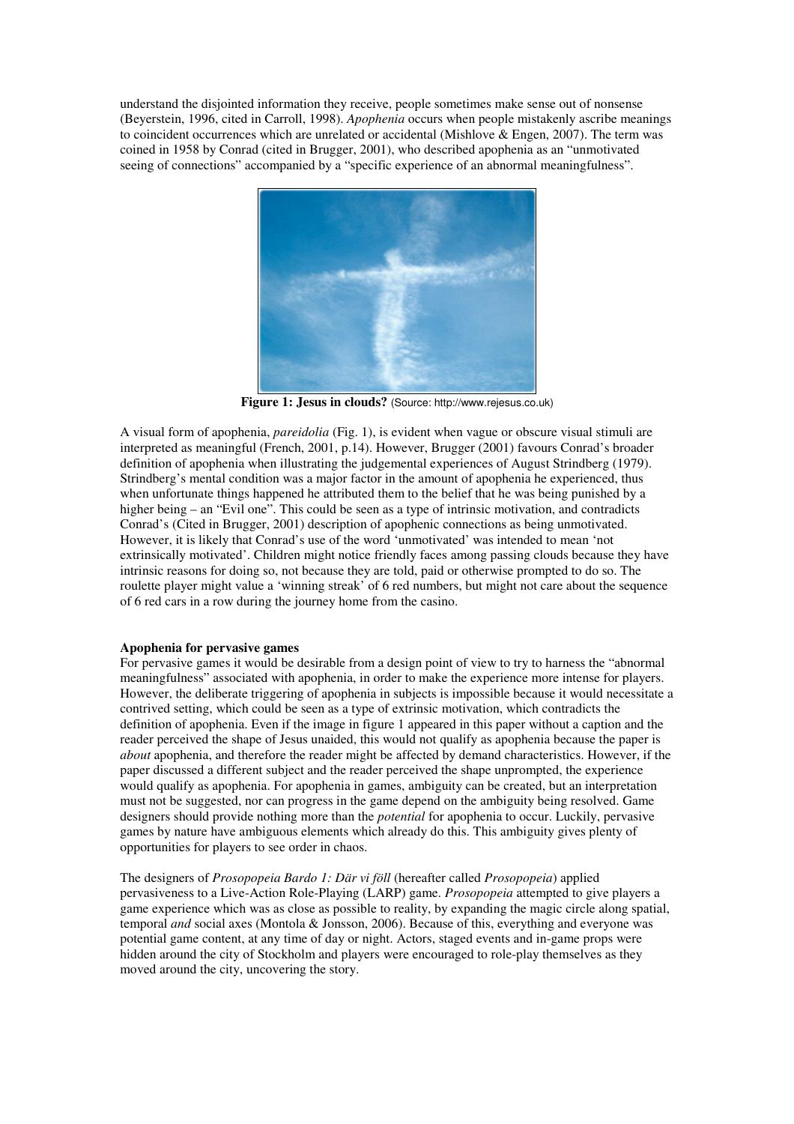understand the disjointed information they receive, people sometimes make sense out of nonsense (Beyerstein, 1996, cited in Carroll, 1998). *Apophenia* occurs when people mistakenly ascribe meanings to coincident occurrences which are unrelated or accidental (Mishlove & Engen, 2007). The term was coined in 1958 by Conrad (cited in Brugger, 2001), who described apophenia as an "unmotivated seeing of connections" accompanied by a "specific experience of an abnormal meaningfulness".



**Figure 1: Jesus in clouds?** (Source: http://www.rejesus.co.uk)

A visual form of apophenia, *pareidolia* (Fig. 1), is evident when vague or obscure visual stimuli are interpreted as meaningful (French, 2001, p.14). However, Brugger (2001) favours Conrad's broader definition of apophenia when illustrating the judgemental experiences of August Strindberg (1979). Strindberg's mental condition was a major factor in the amount of apophenia he experienced, thus when unfortunate things happened he attributed them to the belief that he was being punished by a higher being – an "Evil one". This could be seen as a type of intrinsic motivation, and contradicts Conrad's (Cited in Brugger, 2001) description of apophenic connections as being unmotivated. However, it is likely that Conrad's use of the word 'unmotivated' was intended to mean 'not extrinsically motivated'. Children might notice friendly faces among passing clouds because they have intrinsic reasons for doing so, not because they are told, paid or otherwise prompted to do so. The roulette player might value a 'winning streak' of 6 red numbers, but might not care about the sequence of 6 red cars in a row during the journey home from the casino.

# **Apophenia for pervasive games**

For pervasive games it would be desirable from a design point of view to try to harness the "abnormal meaningfulness" associated with apophenia, in order to make the experience more intense for players. However, the deliberate triggering of apophenia in subjects is impossible because it would necessitate a contrived setting, which could be seen as a type of extrinsic motivation, which contradicts the definition of apophenia. Even if the image in figure 1 appeared in this paper without a caption and the reader perceived the shape of Jesus unaided, this would not qualify as apophenia because the paper is *about* apophenia, and therefore the reader might be affected by demand characteristics. However, if the paper discussed a different subject and the reader perceived the shape unprompted, the experience would qualify as apophenia. For apophenia in games, ambiguity can be created, but an interpretation must not be suggested, nor can progress in the game depend on the ambiguity being resolved. Game designers should provide nothing more than the *potential* for apophenia to occur. Luckily, pervasive games by nature have ambiguous elements which already do this. This ambiguity gives plenty of opportunities for players to see order in chaos.

The designers of *Prosopopeia Bardo 1: Där vi föll* (hereafter called *Prosopopeia*) applied pervasiveness to a Live-Action Role-Playing (LARP) game. *Prosopopeia* attempted to give players a game experience which was as close as possible to reality, by expanding the magic circle along spatial, temporal *and* social axes (Montola & Jonsson, 2006). Because of this, everything and everyone was potential game content, at any time of day or night. Actors, staged events and in-game props were hidden around the city of Stockholm and players were encouraged to role-play themselves as they moved around the city, uncovering the story.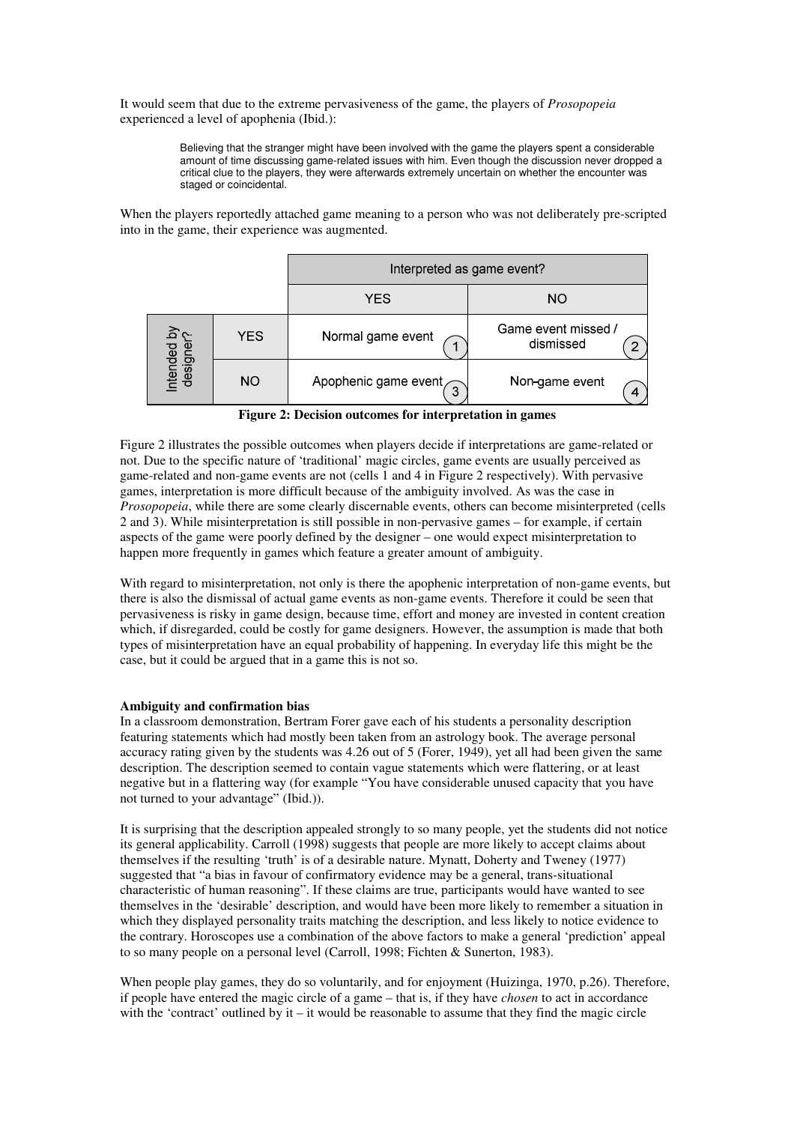It would seem that due to the extreme pervasiveness of the game, the players of *Prosopopeia* experienced a level of apophenia (Ibid.):

> Believing that the stranger might have been involved with the game the players spent a considerable amount of time discussing game-related issues with him. Even though the discussion never dropped a critical clue to the players, they were afterwards extremely uncertain on whether the encounter was staged or coincidental.

When the players reportedly attached game meaning to a person who was not deliberately pre-scripted into in the game, their experience was augmented.

|                          |            | Interpreted as game event?     |                                  |
|--------------------------|------------|--------------------------------|----------------------------------|
|                          |            | YES                            | NO                               |
| Intended by<br>designer? | <b>YES</b> | Normal game event              | Game event missed /<br>dismissed |
|                          | NO.        | Apophenic game event $\bigcap$ | Non-game event<br>4              |

**Figure 2: Decision outcomes for interpretation in games**

Figure 2 illustrates the possible outcomes when players decide if interpretations are game-related or not. Due to the specific nature of 'traditional' magic circles, game events are usually perceived as game-related and non-game events are not (cells 1 and 4 in Figure 2 respectively). With pervasive games, interpretation is more difficult because of the ambiguity involved. As was the case in *Prosopopeia*, while there are some clearly discernable events, others can become misinterpreted (cells 2 and 3). While misinterpretation is still possible in non-pervasive games – for example, if certain aspects of the game were poorly defined by the designer – one would expect misinterpretation to happen more frequently in games which feature a greater amount of ambiguity.

With regard to misinterpretation, not only is there the apophenic interpretation of non-game events, but there is also the dismissal of actual game events as non-game events. Therefore it could be seen that pervasiveness is risky in game design, because time, effort and money are invested in content creation which, if disregarded, could be costly for game designers. However, the assumption is made that both types of misinterpretation have an equal probability of happening. In everyday life this might be the case, but it could be argued that in a game this is not so.

# **Ambiguity and confirmation bias**

In a classroom demonstration, Bertram Forer gave each of his students a personality description featuring statements which had mostly been taken from an astrology book. The average personal accuracy rating given by the students was 4.26 out of 5 (Forer, 1949), yet all had been given the same description. The description seemed to contain vague statements which were flattering, or at least negative but in a flattering way (for example "You have considerable unused capacity that you have not turned to your advantage" (Ibid.)).

It is surprising that the description appealed strongly to so many people, yet the students did not notice its general applicability. Carroll (1998) suggests that people are more likely to accept claims about themselves if the resulting 'truth' is of a desirable nature. Mynatt, Doherty and Tweney (1977) suggested that "a bias in favour of confirmatory evidence may be a general, trans-situational characteristic of human reasoning". If these claims are true, participants would have wanted to see themselves in the 'desirable' description, and would have been more likely to remember a situation in which they displayed personality traits matching the description, and less likely to notice evidence to the contrary. Horoscopes use a combination of the above factors to make a general 'prediction' appeal to so many people on a personal level (Carroll, 1998; Fichten & Sunerton, 1983).

When people play games, they do so voluntarily, and for enjoyment (Huizinga, 1970, p.26). Therefore, if people have entered the magic circle of a game – that is, if they have *chosen* to act in accordance with the 'contract' outlined by it – it would be reasonable to assume that they find the magic circle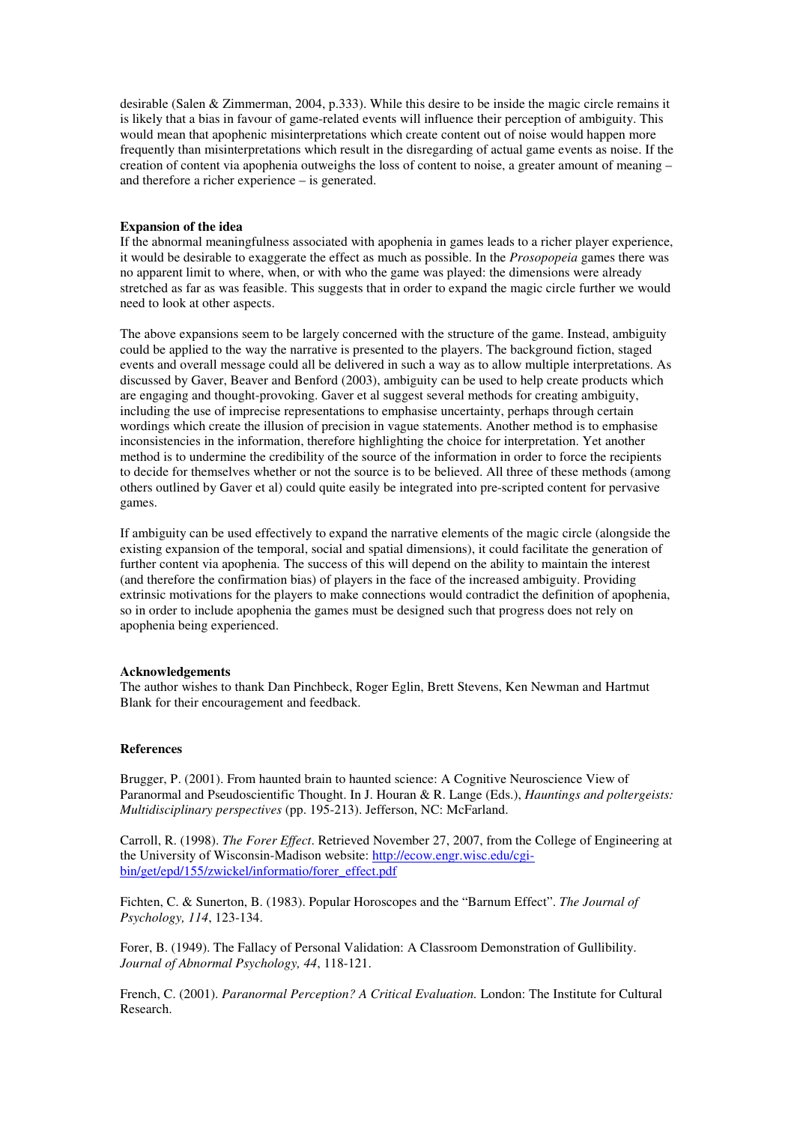desirable (Salen & Zimmerman, 2004, p.333). While this desire to be inside the magic circle remains it is likely that a bias in favour of game-related events will influence their perception of ambiguity. This would mean that apophenic misinterpretations which create content out of noise would happen more frequently than misinterpretations which result in the disregarding of actual game events as noise. If the creation of content via apophenia outweighs the loss of content to noise, a greater amount of meaning – and therefore a richer experience – is generated.

# **Expansion of the idea**

If the abnormal meaningfulness associated with apophenia in games leads to a richer player experience, it would be desirable to exaggerate the effect as much as possible. In the *Prosopopeia* games there was no apparent limit to where, when, or with who the game was played: the dimensions were already stretched as far as was feasible. This suggests that in order to expand the magic circle further we would need to look at other aspects.

The above expansions seem to be largely concerned with the structure of the game. Instead, ambiguity could be applied to the way the narrative is presented to the players. The background fiction, staged events and overall message could all be delivered in such a way as to allow multiple interpretations. As discussed by Gaver, Beaver and Benford (2003), ambiguity can be used to help create products which are engaging and thought-provoking. Gaver et al suggest several methods for creating ambiguity, including the use of imprecise representations to emphasise uncertainty, perhaps through certain wordings which create the illusion of precision in vague statements. Another method is to emphasise inconsistencies in the information, therefore highlighting the choice for interpretation. Yet another method is to undermine the credibility of the source of the information in order to force the recipients to decide for themselves whether or not the source is to be believed. All three of these methods (among others outlined by Gaver et al) could quite easily be integrated into pre-scripted content for pervasive games.

If ambiguity can be used effectively to expand the narrative elements of the magic circle (alongside the existing expansion of the temporal, social and spatial dimensions), it could facilitate the generation of further content via apophenia. The success of this will depend on the ability to maintain the interest (and therefore the confirmation bias) of players in the face of the increased ambiguity. Providing extrinsic motivations for the players to make connections would contradict the definition of apophenia, so in order to include apophenia the games must be designed such that progress does not rely on apophenia being experienced.

## **Acknowledgements**

The author wishes to thank Dan Pinchbeck, Roger Eglin, Brett Stevens, Ken Newman and Hartmut Blank for their encouragement and feedback.

## **References**

Brugger, P. (2001). From haunted brain to haunted science: A Cognitive Neuroscience View of Paranormal and Pseudoscientific Thought. In J. Houran & R. Lange (Eds.), *Hauntings and poltergeists: Multidisciplinary perspectives* (pp. 195-213). Jefferson, NC: McFarland.

Carroll, R. (1998). *The Forer Effect*. Retrieved November 27, 2007, from the College of Engineering at the University of Wisconsin-Madison website: http://ecow.engr.wisc.edu/cgibin/get/epd/155/zwickel/informatio/forer\_effect.pdf

Fichten, C. & Sunerton, B. (1983). Popular Horoscopes and the "Barnum Effect". *The Journal of Psychology, 114*, 123-134.

Forer, B. (1949). The Fallacy of Personal Validation: A Classroom Demonstration of Gullibility. *Journal of Abnormal Psychology, 44*, 118-121.

French, C. (2001). *Paranormal Perception? A Critical Evaluation.* London: The Institute for Cultural Research.